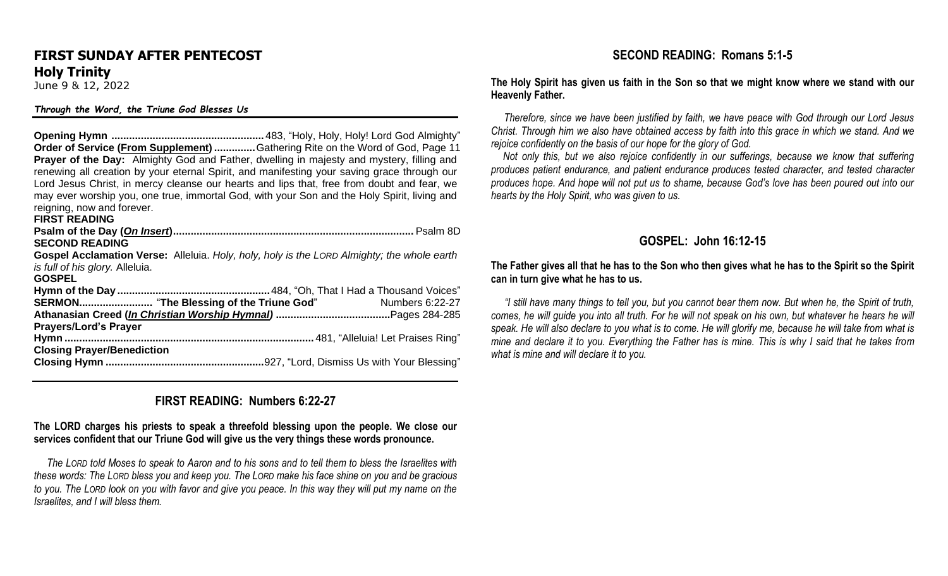# **FIRST SUNDAY AFTER PENTECOST Holy Trinity**

June 9 & 12, 2022

#### *Through the Word, the Triune God Blesses Us*

**Opening Hymn ....................................................** 483, "Holy, Holy, Holy! Lord God Almighty" **Order of Service (From Supplement) ..............**Gathering Rite on the Word of God, Page 11 **Prayer of the Day:** Almighty God and Father, dwelling in majesty and mystery, filling and renewing all creation by your eternal Spirit, and manifesting your saving grace through our Lord Jesus Christ, in mercy cleanse our hearts and lips that, free from doubt and fear, we may ever worship you, one true, immortal God, with your Son and the Holy Spirit, living and reigning, now and forever.

**FIRST READING**

| <b>SECOND READING</b>                                                                      |                        |
|--------------------------------------------------------------------------------------------|------------------------|
| Gospel Acclamation Verse: Alleluia. Holy, holy, holy is the LORD Almighty; the whole earth |                        |
| is full of his glory. Alleluia.                                                            |                        |
| <b>GOSPEL</b>                                                                              |                        |
|                                                                                            |                        |
|                                                                                            | <b>Numbers 6:22-27</b> |
|                                                                                            |                        |
| <b>Prayers/Lord's Prayer</b>                                                               |                        |
|                                                                                            |                        |
| <b>Closing Prayer/Benediction</b>                                                          |                        |
|                                                                                            |                        |

## **FIRST READING: Numbers 6:22-27**

#### **The LORD charges his priests to speak a threefold blessing upon the people. We close our services confident that our Triune God will give us the very things these words pronounce.**

 *The LORD told Moses to speak to Aaron and to his sons and to tell them to bless the Israelites with these words: The LORD bless you and keep you. The LORD make his face shine on you and be gracious to you. The LORD look on you with favor and give you peace. In this way they will put my name on the Israelites, and I will bless them.* 

## **SECOND READING: Romans 5:1-5**

**The Holy Spirit has given us faith in the Son so that we might know where we stand with our Heavenly Father.**

 *Therefore, since we have been justified by faith, we have peace with God through our Lord Jesus Christ. Through him we also have obtained access by faith into this grace in which we stand. And we rejoice confidently on the basis of our hope for the glory of God.* 

 *Not only this, but we also rejoice confidently in our sufferings, because we know that suffering produces patient endurance, and patient endurance produces tested character, and tested character produces hope. And hope will not put us to shame, because God's love has been poured out into our hearts by the Holy Spirit, who was given to us.* 

### **GOSPEL: John 16:12-15**

#### **The Father gives all that he has to the Son who then gives what he has to the Spirit so the Spirit can in turn give what he has to us.**

 *"I still have many things to tell you, but you cannot bear them now. But when he, the Spirit of truth, comes, he will guide you into all truth. For he will not speak on his own, but whatever he hears he will speak. He will also declare to you what is to come. He will glorify me, because he will take from what is mine and declare it to you. Everything the Father has is mine. This is why I said that he takes from what is mine and will declare it to you.*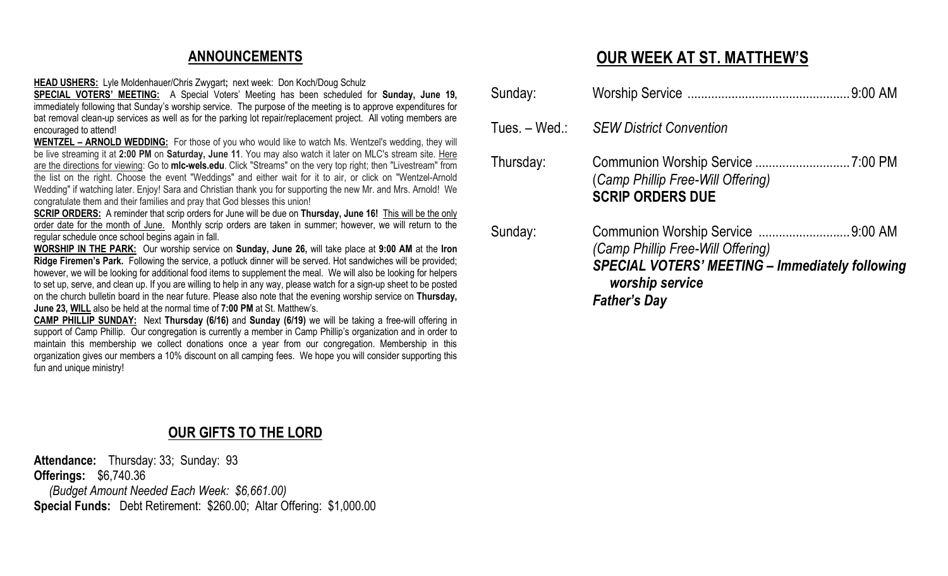# **ANNOUNCEMENTS**

**HEAD USHERS:** Lyle Moldenhauer/Chris Zwygart**;** next week: Don Koch/Doug Schulz

**SPECIAL VOTERS' MEETING:** A Special Voters' Meeting has been scheduled for **Sunday, June 19,** immediately following that Sunday's worship service. The purpose of the meeting is to approve expenditures for bat removal clean-up services as well as for the parking lot repair/replacement project. All voting members are encouraged to attend!

**WENTZEL – ARNOLD WEDDING:** For those of you who would like to watch Ms. Wentzel's wedding, they will be live streaming it at **2:00 PM** on **Saturday, June 11**. You may also watch it later on MLC's stream site. Here are the directions for viewing: Go to **[mlc-wels.edu](http://mlc-wels.edu/)**. Click "Streams" on the very top right; then "Livestream" from the list on the right. Choose the event "Weddings" and either wait for it to air, or click on "Wentzel-Arnold Wedding" if watching later. Enjoy! Sara and Christian thank you for supporting the new Mr. and Mrs. Arnold! We congratulate them and their families and pray that God blesses this union!

**SCRIP ORDERS:** A reminder that scrip orders for June will be due on **Thursday, June 16!** This will be the only order date for the month of June. Monthly scrip orders are taken in summer; however, we will return to the regular schedule once school begins again in fall.

**WORSHIP IN THE PARK:** Our worship service on **Sunday, June 26,** will take place at **9:00 AM** at the **Iron Ridge Firemen's Park.** Following the service, a potluck dinner will be served. Hot sandwiches will be provided; however, we will be looking for additional food items to supplement the meal. We will also be looking for helpers to set up, serve, and clean up. If you are willing to help in any way, please watch for a sign-up sheet to be posted on the church bulletin board in the near future. Please also note that the evening worship service on **Thursday, June 23, WILL** also be held at the normal time of **7:00 PM** at St. Matthew's.

**CAMP PHILLIP SUNDAY:** Next **Thursday (6/16)** and **Sunday (6/19)** we will be taking a free-will offering in support of Camp Phillip. Our congregation is currently a member in Camp Phillip's organization and in order to maintain this membership we collect donations once a year from our congregation. Membership in this organization gives our members a 10% discount on all camping fees. We hope you will consider supporting this fun and unique ministry!

# **OUR GIFTS TO THE LORD**

**Attendance:** Thursday: 33; Sunday: 93 **Offerings:** \$6,740.36 *(Budget Amount Needed Each Week: \$6,661.00)* **Special Funds:** Debt Retirement: \$260.00; Altar Offering: \$1,000.00

# **OUR WEEK AT ST. MATTHEW'S**

|           | worship service<br><b>Father's Day</b>                                                      |  |
|-----------|---------------------------------------------------------------------------------------------|--|
| Sunday:   | (Camp Phillip Free-Will Offering)<br><b>SPECIAL VOTERS' MEETING - Immediately following</b> |  |
| Thursday: | (Camp Phillip Free-Will Offering)<br><b>SCRIP ORDERS DUE</b>                                |  |
|           | Tues. - Wed.: SEW District Convention                                                       |  |
| Sunday:   |                                                                                             |  |